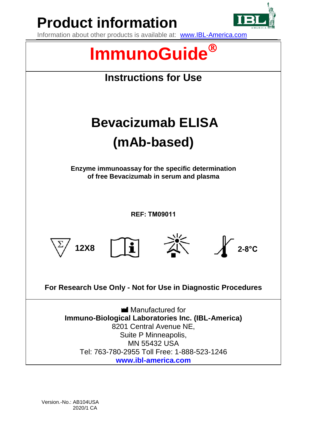

**Product information**

Information about other products is available at: www.IBL-America.com



Version.-No.: AB104USA 2020/1 CA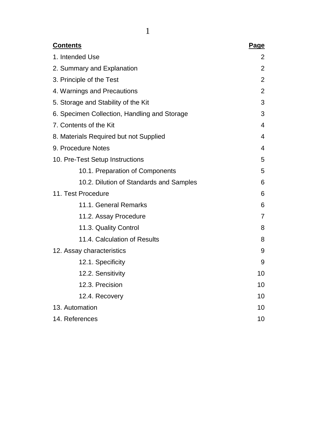| <b>Contents</b>                              | Page           |
|----------------------------------------------|----------------|
| 1. Intended Use                              | 2              |
| 2. Summary and Explanation                   | $\overline{2}$ |
| 3. Principle of the Test                     | 2              |
| 4. Warnings and Precautions                  | $\overline{2}$ |
| 5. Storage and Stability of the Kit          | 3              |
| 6. Specimen Collection, Handling and Storage | 3              |
| 7. Contents of the Kit                       | 4              |
| 8. Materials Required but not Supplied       | 4              |
| 9. Procedure Notes                           | 4              |
| 10. Pre-Test Setup Instructions              | 5              |
| 10.1. Preparation of Components              | 5              |
| 10.2. Dilution of Standards and Samples      | 6              |
| 11. Test Procedure                           | 6              |
| 11.1. General Remarks                        | 6              |
| 11.2. Assay Procedure                        | 7              |
| 11.3. Quality Control                        | 8              |
| 11.4. Calculation of Results                 | 8              |
| 12. Assay characteristics                    | 9              |
| 12.1. Specificity                            | 9              |
| 12.2. Sensitivity                            | 10             |
| 12.3. Precision                              | 10             |
| 12.4. Recovery                               | 10             |
| 13. Automation                               | 10             |
| 14. References                               | 10             |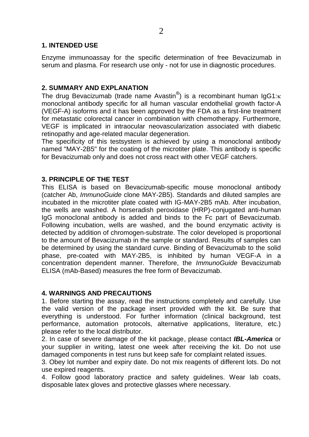## **1. INTENDED USE**

Enzyme immunoassay for the specific determination of free Bevacizumab in serum and plasma. For research use only - not for use in diagnostic procedures.

## **2. SUMMARY AND EXPLANATION**

The drug Bevacizumab (trade name Avastin®) is a recombinant human IgG1: $\kappa$ monoclonal antibody specific for all human vascular endothelial growth factor-A (VEGF-A) isoforms and it has been approved by the FDA as a first-line treatment for metastatic colorectal cancer in combination with chemotherapy. Furthermore, VEGF is implicated in intraocular neovascularization associated with diabetic retinopathy and age-related macular degeneration.

The specificity of this testsystem is achieved by using a monoclonal antibody named "MAY-2B5" for the coating of the microtiter plate. This antibody is specific for Bevacizumab only and does not cross react with other VEGF catchers.

## **3. PRINCIPLE OF THE TEST**

This ELISA is based on Bevacizumab-specific mouse monoclonal antibody (catcher Ab, *ImmunoGuide* clone MAY-2B5). Standards and diluted samples are incubated in the microtiter plate coated with IG-MAY-2B5 mAb. After incubation, the wells are washed. A horseradish peroxidase (HRP)-conjugated anti-human IgG monoclonal antibody is added and binds to the Fc part of Bevacizumab. Following incubation, wells are washed, and the bound enzymatic activity is detected by addition of chromogen-substrate. The color developed is proportional to the amount of Bevacizumab in the sample or standard. Results of samples can be determined by using the standard curve. Binding of Bevacizumab to the solid phase, pre-coated with MAY-2B5, is inhibited by human VEGF-A in a concentration dependent manner. Therefore, the *ImmunoGuide* Bevacizumab ELISA (mAb-Based) measures the free form of Bevacizumab.

### **4. WARNINGS AND PRECAUTIONS**

1. Before starting the assay, read the instructions completely and carefully. Use the valid version of the package insert provided with the kit. Be sure that everything is understood. For further information (clinical background, test performance, automation protocols, alternative applications, literature, etc.) please refer to the local distributor.

2. In case of severe damage of the kit package, please contact *IBL-America* or your supplier in writing, latest one week after receiving the kit. Do not use damaged components in test runs but keep safe for complaint related issues.

3. Obey lot number and expiry date. Do not mix reagents of different lots. Do not use expired reagents.

4. Follow good laboratory practice and safety guidelines. Wear lab coats, disposable latex gloves and protective glasses where necessary.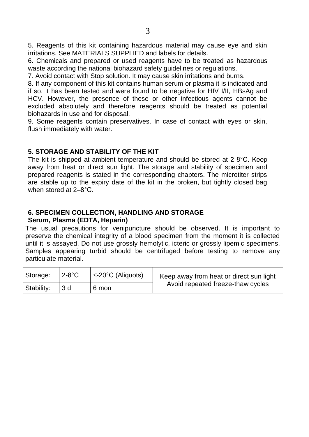5. Reagents of this kit containing hazardous material may cause eye and skin irritations. See MATERIALS SUPPLIED and labels for details.

6. Chemicals and prepared or used reagents have to be treated as hazardous waste according the national biohazard safety guidelines or regulations.

7. Avoid contact with Stop solution. It may cause skin irritations and burns.

8. If any component of this kit contains human serum or plasma it is indicated and if so, it has been tested and were found to be negative for HIV I/II, HBsAg and HCV. However, the presence of these or other infectious agents cannot be excluded absolutely and therefore reagents should be treated as potential biohazards in use and for disposal.

9. Some reagents contain preservatives. In case of contact with eyes or skin, flush immediately with water.

# **5. STORAGE AND STABILITY OF THE KIT**

The kit is shipped at ambient temperature and should be stored at 2-8°C. Keep away from heat or direct sun light. The storage and stability of specimen and prepared reagents is stated in the corresponding chapters. The microtiter strips are stable up to the expiry date of the kit in the broken, but tightly closed bag when stored at 2–8°C.

## **6. SPECIMEN COLLECTION, HANDLING AND STORAGE Serum, Plasma (EDTA, Heparin)**

The usual precautions for venipuncture should be observed. It is important to preserve the chemical integrity of a blood specimen from the moment it is collected until it is assayed. Do not use grossly hemolytic, icteric or grossly lipemic specimens. Samples appearing turbid should be centrifuged before testing to remove any particulate material.

| Storage:   | $2-8$ °C | $\leq$ -20°C (Aliquots) | Keep away from heat or direct sun light |
|------------|----------|-------------------------|-----------------------------------------|
| Stability: | -3 d     | 6 mon                   | Avoid repeated freeze-thaw cycles       |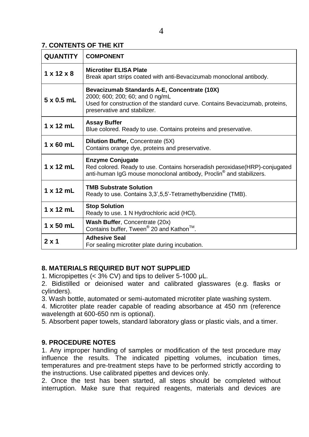# **7. CONTENTS OF THE KIT**

| <b>QUANTITY</b>        | <b>COMPONENT</b>                                                                                                                                                                                |
|------------------------|-------------------------------------------------------------------------------------------------------------------------------------------------------------------------------------------------|
| $1 \times 12 \times 8$ | <b>Microtiter ELISA Plate</b><br>Break apart strips coated with anti-Bevacizumab monoclonal antibody.                                                                                           |
| $5 \times 0.5$ mL      | Bevacizumab Standards A-E, Concentrate (10X)<br>2000; 600; 200; 60; and 0 ng/mL<br>Used for construction of the standard curve. Contains Bevacizumab, proteins,<br>preservative and stabilizer. |
| 1 x 12 mL              | <b>Assay Buffer</b><br>Blue colored. Ready to use. Contains proteins and preservative.                                                                                                          |
| $1 \times 60$ mL       | <b>Dilution Buffer, Concentrate (5X)</b><br>Contains orange dye, proteins and preservative.                                                                                                     |
| $1 \times 12$ mL       | <b>Enzyme Conjugate</b><br>Red colored. Ready to use. Contains horseradish peroxidase (HRP)-conjugated<br>anti-human IgG mouse monoclonal antibody, Proclin <sup>®</sup> and stabilizers.       |
| 1 x 12 mL              | <b>TMB Substrate Solution</b><br>Ready to use. Contains 3.3', 5.5'-Tetramethylbenzidine (TMB).                                                                                                  |
| $1 \times 12$ mL       | <b>Stop Solution</b><br>Ready to use. 1 N Hydrochloric acid (HCI).                                                                                                                              |
| $1 \times 50$ mL       | Wash Buffer, Concentrate (20x)<br>Contains buffer, Tween <sup>®</sup> 20 and Kathon <sup>™</sup> .                                                                                              |
| $2 \times 1$           | <b>Adhesive Seal</b><br>For sealing microtiter plate during incubation.                                                                                                                         |

# **8. MATERIALS REQUIRED BUT NOT SUPPLIED**

1. Micropipettes (< 3% CV) and tips to deliver 5-1000 µL.

2. Bidistilled or deionised water and calibrated glasswares (e.g. flasks or cylinders).

3. Wash bottle, automated or semi-automated microtiter plate washing system.

4. Microtiter plate reader capable of reading absorbance at 450 nm (reference wavelength at 600-650 nm is optional).

5. Absorbent paper towels, standard laboratory glass or plastic vials, and a timer.

# **9. PROCEDURE NOTES**

1. Any improper handling of samples or modification of the test procedure may influence the results. The indicated pipetting volumes, incubation times, temperatures and pre-treatment steps have to be performed strictly according to the instructions. Use calibrated pipettes and devices only.

2. Once the test has been started, all steps should be completed without interruption. Make sure that required reagents, materials and devices are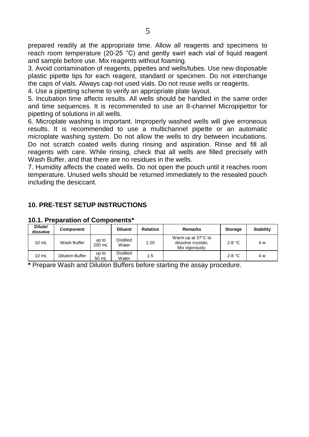prepared readily at the appropriate time. Allow all reagents and specimens to reach room temperature (20-25 °C) and gently swirl each vial of liquid reagent and sample before use. Mix reagents without foaming.

3. Avoid contamination of reagents, pipettes and wells/tubes. Use new disposable plastic pipette tips for each reagent, standard or specimen. Do not interchange the caps of vials. Always cap not used vials. Do not reuse wells or reagents.

4. Use a pipetting scheme to verify an appropriate plate layout.

5. Incubation time affects results. All wells should be handled in the same order and time sequences. It is recommended to use an 8-channel Micropipettor for pipetting of solutions in all wells.

6. Microplate washing is important. Improperly washed wells will give erroneous results. It is recommended to use a multichannel pipette or an automatic microplate washing system. Do not allow the wells to dry between incubations. Do not scratch coated wells during rinsing and aspiration. Rinse and fill all reagents with care. While rinsing, check that all wells are filled precisely with Wash Buffer, and that there are no residues in the wells.

7. Humidity affects the coated wells. Do not open the pouch until it reaches room temperature. Unused wells should be returned immediately to the resealed pouch including the desiccant.

## **10. PRE-TEST SETUP INSTRUCTIONS**

| Dilute/<br>dissolve | Component       |                 | <b>Diluent</b>            | <b>Relation</b> | Remarks                                                     | <b>Storage</b>  | <b>Stability</b> |
|---------------------|-----------------|-----------------|---------------------------|-----------------|-------------------------------------------------------------|-----------------|------------------|
| $10$ mL             | Wash Buffer     | up to<br>200 mL | Distilled<br>Water        | 1:20            | Warm up at 37°C to<br>dissolve crystals.<br>Mix vigorously. | 2-8 $\degree$ C | 4 w              |
| $10 \text{ mL}$     | Dilution Buffer | up to<br>50 mL  | <b>Distilled</b><br>Water | 1:5             |                                                             | $2-8 °C$        | 4 w              |

### **10.1. Preparation of Components\***

**\*** Prepare Wash and Dilution Buffers before starting the assay procedure.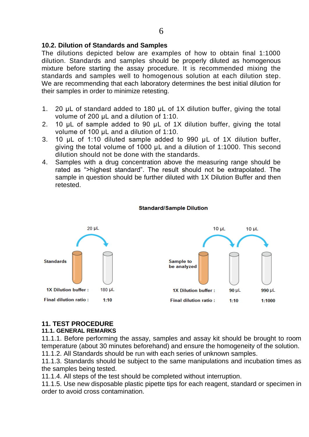## **10.2. Dilution of Standards and Samples**

The dilutions depicted below are examples of how to obtain final 1:1000 dilution. Standards and samples should be properly diluted as homogenous mixture before starting the assay procedure. It is recommended mixing the standards and samples well to homogenous solution at each dilution step. We are recommending that each laboratory determines the best initial dilution for their samples in order to minimize retesting.

- 1. 20 µL of standard added to 180 µL of 1X dilution buffer, giving the total volume of 200 µL and a dilution of 1:10.
- 2. 10  $\mu$ L of sample added to 90  $\mu$ L of 1X dilution buffer, giving the total volume of 100 µL and a dilution of 1:10.
- 3. 10 µL of 1:10 diluted sample added to 990 µL of 1X dilution buffer, giving the total volume of 1000 µL and a dilution of 1:1000. This second dilution should not be done with the standards.
- 4. Samples with a drug concentration above the measuring range should be rated as ">highest standard". The result should not be extrapolated. The sample in question should be further diluted with 1X Dilution Buffer and then retested.



#### **Standard/Sample Dilution**

## **11. TEST PROCEDURE**

#### **11.1. GENERAL REMARKS**

11.1.1. Before performing the assay, samples and assay kit should be brought to room temperature (about 30 minutes beforehand) and ensure the homogeneity of the solution. 11.1.2. All Standards should be run with each series of unknown samples.

11.1.3. Standards should be subject to the same manipulations and incubation times as the samples being tested.

11.1.4. All steps of the test should be completed without interruption.

11.1.5. Use new disposable plastic pipette tips for each reagent, standard or specimen in order to avoid cross contamination.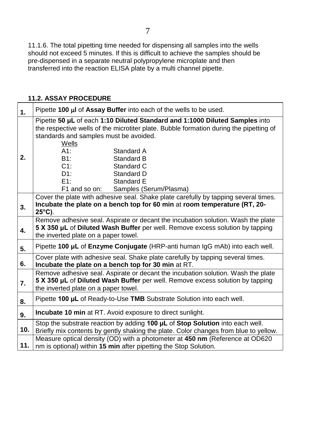11.1.6. The total pipetting time needed for dispensing all samples into the wells should not exceed 5 minutes. If this is difficult to achieve the samples should be pre-dispensed in a separate neutral polypropylene microplate and then transferred into the reaction ELISA plate by a multi channel pipette.

## **11.2. ASSAY PROCEDURE**

| 1.  | Pipette 100 µl of Assay Buffer into each of the wells to be used.                                                                                                                                                                                       |  |  |  |  |  |  |
|-----|---------------------------------------------------------------------------------------------------------------------------------------------------------------------------------------------------------------------------------------------------------|--|--|--|--|--|--|
|     | Pipette 50 µL of each 1:10 Diluted Standard and 1:1000 Diluted Samples into<br>the respective wells of the microtiter plate. Bubble formation during the pipetting of<br>standards and samples must be avoided.<br><b>Wells</b><br>$A1$ :<br>Standard A |  |  |  |  |  |  |
| 2.  | B1:<br>Standard B<br>$C1$ :<br>Standard C<br>D1:<br>Standard D<br>E1:<br>Standard E<br>F1 and so on:<br>Samples (Serum/Plasma)                                                                                                                          |  |  |  |  |  |  |
| 3.  | Cover the plate with adhesive seal. Shake plate carefully by tapping several times.<br>Incubate the plate on a bench top for 60 min at room temperature (RT, 20-<br>$25^{\circ}$ C).                                                                    |  |  |  |  |  |  |
| 4.  | Remove adhesive seal. Aspirate or decant the incubation solution. Wash the plate<br>5 X 350 µL of Diluted Wash Buffer per well. Remove excess solution by tapping<br>the inverted plate on a paper towel.                                               |  |  |  |  |  |  |
| 5.  | Pipette 100 µL of Enzyme Conjugate (HRP-anti human IgG mAb) into each well.                                                                                                                                                                             |  |  |  |  |  |  |
| 6.  | Cover plate with adhesive seal. Shake plate carefully by tapping several times.<br>Incubate the plate on a bench top for 30 min at RT.                                                                                                                  |  |  |  |  |  |  |
| 7.  | Remove adhesive seal. Aspirate or decant the incubation solution. Wash the plate<br>5 X 350 µL of Diluted Wash Buffer per well. Remove excess solution by tapping<br>the inverted plate on a paper towel.                                               |  |  |  |  |  |  |
| 8.  | Pipette 100 µL of Ready-to-Use TMB Substrate Solution into each well.                                                                                                                                                                                   |  |  |  |  |  |  |
| 9.  | <b>Incubate 10 min</b> at RT. Avoid exposure to direct sunlight.                                                                                                                                                                                        |  |  |  |  |  |  |
| 10. | Stop the substrate reaction by adding 100 µL of Stop Solution into each well.<br>Briefly mix contents by gently shaking the plate. Color changes from blue to yellow.                                                                                   |  |  |  |  |  |  |
| 11. | Measure optical density (OD) with a photometer at 450 nm (Reference at OD620<br>nm is optional) within 15 min after pipetting the Stop Solution.                                                                                                        |  |  |  |  |  |  |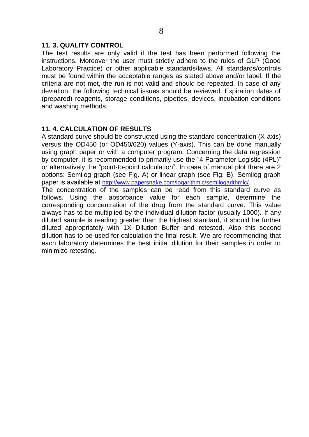## **11. 3. QUALITY CONTROL**

The test results are only valid if the test has been performed following the instructions. Moreover the user must strictly adhere to the rules of GLP (Good Laboratory Practice) or other applicable standards/laws. All standards/controls must be found within the acceptable ranges as stated above and/or label. If the criteria are not met, the run is not valid and should be repeated. In case of any deviation, the following technical issues should be reviewed: Expiration dates of (prepared) reagents, storage conditions, pipettes, devices, incubation conditions and washing methods.

# **11. 4. CALCULATION OF RESULTS**

A standard curve should be constructed using the standard concentration (X-axis) versus the OD450 (or OD450/620) values (Y-axis). This can be done manually using graph paper or with a computer program. Concerning the data regression by computer, it is recommended to primarily use the "4 Parameter Logistic (4PL)" or alternatively the "point-to-point calculation". In case of manual plot there are 2 options: Semilog graph (see Fig. A) or linear graph (see Fig. B). Semilog graph paper is available at [http://www.papersnake.com/logarithmic/semilogarithmic/.](http://www.papersnake.com/logarithmic/semilogarithmic/) The concentration of the samples can be read from this standard curve as follows. Using the absorbance value for each sample, determine the corresponding concentration of the drug from the standard curve. This value

always has to be multiplied by the individual dilution factor (usually 1000). If any diluted sample is reading greater than the highest standard, it should be further diluted appropriately with 1X Dilution Buffer and retested. Also this second dilution has to be used for calculation the final result. We are recommending that each laboratory determines the best initial dilution for their samples in order to minimize retesting.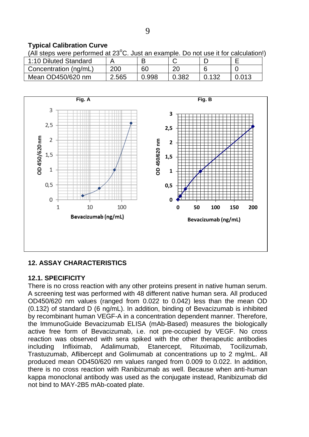# **Typical Calibration Curve**

(All steps were performed at  $23^{\circ}$ C. Just an example. Do not use it for calculation!)

| 1:10 Diluted Standard |       |       |       |   |       |
|-----------------------|-------|-------|-------|---|-------|
| Concentration (ng/mL) | 200   | 60    | റ     | ົ |       |
| Mean OD450/620 nm     | ∠.565 | 0.998 | 0.382 |   | 0.013 |



# **12. ASSAY CHARACTERISTICS**

# **12.1. SPECIFICITY**

There is no cross reaction with any other proteins present in native human serum. A screening test was performed with 48 different native human sera. All produced OD450/620 nm values (ranged from 0.022 to 0.042) less than the mean OD (0.132) of standard D (6 ng/mL). In addition, binding of Bevacizumab is inhibited by recombinant human VEGF-A in a concentration dependent manner. Therefore, the ImmunoGuide Bevacizumab ELISA (mAb-Based) measures the biologically active free form of Bevacizumab, i.e. not pre-occupied by VEGF. No cross reaction was observed with sera spiked with the other therapeutic antibodies including Infliximab, Adalimumab, Etanercept, Rituximab, Tocilizumab, Trastuzumab, Aflibercept and Golimumab at concentrations up to 2 mg/mL. All produced mean OD450/620 nm values ranged from 0.009 to 0.022. In addition, there is no cross reaction with Ranibizumab as well. Because when anti-human kappa monoclonal antibody was used as the conjugate instead, Ranibizumab did not bind to MAY-2B5 mAb-coated plate.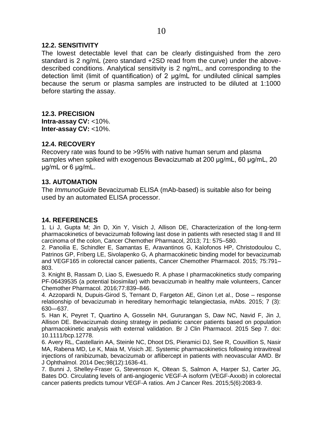### **12.2. SENSITIVITY**

The lowest detectable level that can be clearly distinguished from the zero standard is 2 ng/mL (zero standard +2SD read from the curve) under the abovedescribed conditions. Analytical sensitivity is 2 ng/mL, and corresponding to the detection limit (limit of quantification) of 2 µg/mL for undiluted clinical samples because the serum or plasma samples are instructed to be diluted at 1:1000 before starting the assay.

## **12.3. PRECISION**

**Intra-assay CV:** <10%. **Inter-assay CV:** <10%.

## **12.4. RECOVERY**

Recovery rate was found to be >95% with native human serum and plasma samples when spiked with exogenous Bevacizumab at 200 µg/mL, 60 µg/mL, 20 µg/mL or 6 µg/mL.

## **13. AUTOMATION**

The *ImmunoGuide* Bevacizumab ELISA (mAb-based) is suitable also for being used by an automated ELISA processor.

### **14. REFERENCES**

1. Li J, Gupta M; Jin D, Xin Y, Visich J, Allison DE, Characterization of the long-term pharmacokinetics of bevacizumab following last dose in patients with resected stag II and III carcinoma of the colon, Cancer Chemother Pharmacol, 2013; 71: 575–580.

2. Panoilia E, Schindler E, Samantas E, Aravantinos G, Kalofonos HP, Christodoulou C, Patrinos GP, Friberg LE, Sivolapenko G, A pharmacokinetic binding model for bevacizumab and VEGF165 in colorectal cancer patients, Cancer Chemother Pharmacol. 2015; 75:791– 803.

3. Knight B, Rassam D, Liao S, Ewesuedo R. A phase I pharmacokinetics study comparing PF‑06439535 (a potential biosimilar) with bevacizumab in healthy male volunteers, Cancer Chemother Pharmacol. 2016;77:839–846.

4. Azzopardi N, Dupuis-Girod S, Ternant D, Fargeton AE, Ginon I,et al., Dose – response relationship of bevacizumab in hereditary hemorrhagic telangiectasia, mAbs. 2015; 7 (3): 630—637.

5. Han K, Peyret T, Quartino A, Gosselin NH, Gururangan S, Daw NC, Navid F, Jin J, Allison DE. Bevacizumab [dosing strategy in pediatric cancer patients based on population](http://www.ncbi.nlm.nih.gov/pubmed/26345283)  [pharmacokinetic analysis with external validation.](http://www.ncbi.nlm.nih.gov/pubmed/26345283) Br J Clin Pharmacol. 2015 Sep 7. doi: 10.1111/bcp.12778.

6. Avery RL, Castellarin AA, Steinle NC, Dhoot DS, Pieramici DJ, See R, Couvillion S, Nasir MA, Rabena MD, Le K, Maia M, Visich JE. [Systemic pharmacokinetics following intravitreal](http://www.ncbi.nlm.nih.gov/pubmed/25001321)  injections of ranibizumab, bevacizumab [or aflibercept in patients with neovascular AMD.](http://www.ncbi.nlm.nih.gov/pubmed/25001321) Br J Ophthalmol. 2014 Dec;98(12):1636-41.

7. Bunni J, Shelley-Fraser G, Stevenson K, Oltean S, Salmon A, Harper SJ, Carter JG, Bates DO. [Circulating levels of anti-angiogenic VEGF-A isoform \(VEGF-Axxxb\)](http://www.ncbi.nlm.nih.gov/pubmed/26269767) in colorectal [cancer patients predicts tumour VEGF-A ratios.](http://www.ncbi.nlm.nih.gov/pubmed/26269767) Am J Cancer Res. 2015;5(6):2083-9.